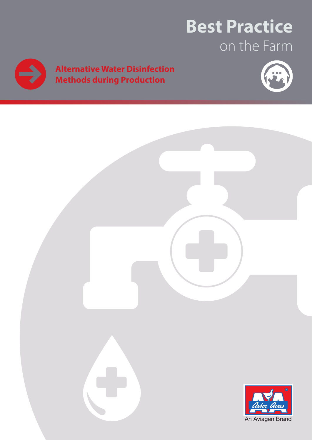# **Best Practice** on the Farm



# **Alternative Water Disinfection Methods during Production**



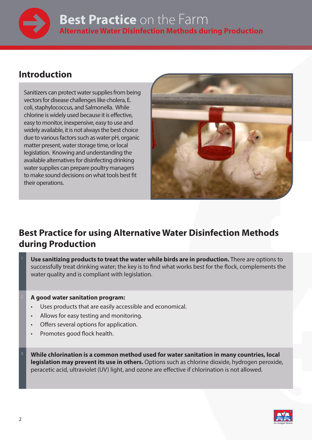

### **Introduction**

Sanitizers can protect water supplies from being vectors for disease challenges like cholera, E. coli, staphylococcus, and Salmonella. While chlorine is widely used because it is effective, easy to monitor, inexpensive, easy to use and widely available, it is not always the best choice due to various factors such as water pH, organic matter present, water storage time, or local legislation. Knowing and understanding the available alternatives for disinfecting drinking water supplies can prepare poultry managers to make sound decisions on what tools best fit their operations.



## **Best Practice for using Alternative Water Disinfection Methods during Production**

<sup>1</sup> **Use sanitizing products to treat the water while birds are in production.** There are options to successfully treat drinking water; the key is to find what works best for the flock, complements the water quality and is compliant with legislation.

#### <sup>2</sup> **A good water sanitation program:**

- Uses products that are easily accessible and economical.
- Allows for easy testing and monitoring.
- Offers several options for application.
- Promotes good flock health.
- <sup>3</sup> **While chlorination is a common method used for water sanitation in many countries, local legislation may prevent its use in others.** Options such as chlorine dioxide, hydrogen peroxide, peracetic acid, ultraviolet (UV) light, and ozone are effective if chlorination is not allowed.

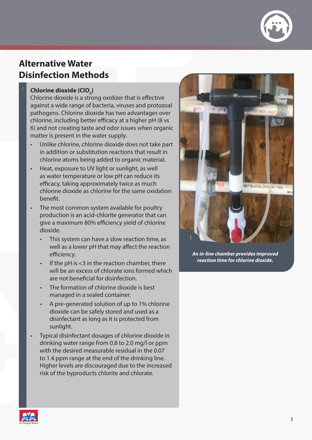

## **Alternative Water Disinfection Methods**

### Chlorine dioxide (ClO<sub>2</sub>)

Chlorine dioxide is a strong oxidizer that is effective against a wide range of bacteria, viruses and protozoal pathogens. Chlorine dioxide has two advantages over chlorine, including better efficacy at a higher pH (8 vs 6) and not creating taste and odor issues when organic matter is present in the water supply.

- Unlike chlorine, chlorine dioxide does not take part in addition or substitution reactions that result in chlorine atoms being added to organic material.
- Heat, exposure to UV light or sunlight, as well as water temperature or low pH can reduce its efficacy, taking approximately twice as much chlorine dioxide as chlorine for the same oxidation benefit.
- The most common system available for poultry production is an acid-chlorite generator that can give a maximum 80% efficiency yield of chlorine dioxide.
	- This system can have a slow reaction time, as well as a lower pH that may affect the reaction efficiency.
	- If the pH is  $<$ 3 in the reaction chamber, there will be an excess of chlorate ions formed which are not beneficial for disinfection.
	- The formation of chlorine dioxide is best managed in a sealed container.
	- A pre-generated solution of up to 1% chlorine dioxide can be safely stored and used as a disinfectant as long as it is protected from sunlight.
- Typical disinfectant dosages of chlorine dioxide in drinking water range from 0.8 to 2.0 mg/l or ppm with the desired measurable residual in the 0.07 to 1.4 ppm range at the end of the drinking line. Higher levels are discouraged due to the increased risk of the byproducts chlorite and chlorate.



*An in-line chamber provides improved reaction time for chlorine dioxide.*

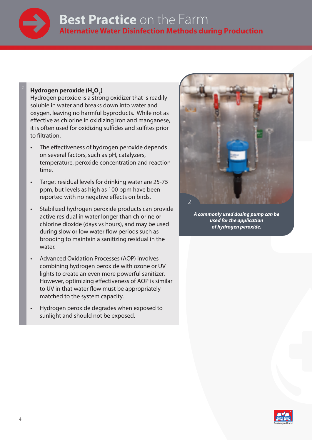

# **Best Practice** on the Farm **Alternative Water Disinfection Methods during Production**

### $Hydrogen peroxide (H<sub>2</sub>O<sub>2</sub>)$

Hydrogen peroxide is a strong oxidizer that is readily soluble in water and breaks down into water and oxygen, leaving no harmful byproducts. While not as effective as chlorine in oxidizing iron and manganese, it is often used for oxidizing sulfides and sulfites prior to filtration.

- The effectiveness of hydrogen peroxide depends on several factors, such as pH, catalyzers, temperature, peroxide concentration and reaction time.
- Target residual levels for drinking water are 25-75 ppm, but levels as high as 100 ppm have been reported with no negative effects on birds.
- Stabilized hydrogen peroxide products can provide active residual in water longer than chlorine or chlorine dioxide (days vs hours), and may be used during slow or low water flow periods such as brooding to maintain a sanitizing residual in the water.
- Advanced Oxidation Processes (AOP) involves combining hydrogen peroxide with ozone or UV lights to create an even more powerful sanitizer. However, optimizing effectiveness of AOP is similar to UV in that water flow must be appropriately matched to the system capacity.
- Hydrogen peroxide degrades when exposed to sunlight and should not be exposed.



*A commonly used dosing pump can be used for the application of hydrogen peroxide.* 

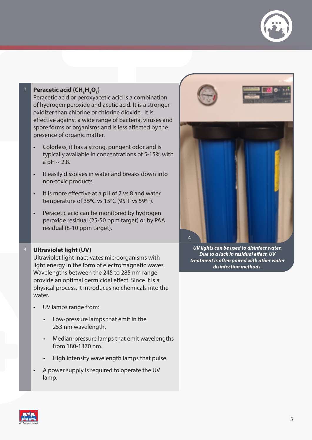

#### $\frac{3}{2}$  **Peracetic acid (CH<sub>3</sub>H<sub>4</sub>O<sub>3</sub>)**

Peracetic acid or peroxyacetic acid is a combination of hydrogen peroxide and acetic acid. It is a stronger oxidizer than chlorine or chlorine dioxide. It is effective against a wide range of bacteria, viruses and spore forms or organisms and is less affected by the presence of organic matter.

- Colorless, it has a strong, pungent odor and is typically available in concentrations of 5-15% with a pH  $\sim$  2.8.
- It easily dissolves in water and breaks down into non-toxic products.
- It is more effective at a pH of 7 vs 8 and water temperature of  $35^{\circ}$ C vs  $15^{\circ}$ C (95 $^{\circ}$ F vs 59 $^{\circ}$ F).
- Peracetic acid can be monitored by hydrogen peroxide residual (25-50 ppm target) or by PAA residual (8-10 ppm target).

#### <sup>4</sup> **Ultraviolet light (UV)**

Ultraviolet light inactivates microorganisms with light energy in the form of electromagnetic waves. Wavelengths between the 245 to 285 nm range provide an optimal germicidal effect. Since it is a physical process, it introduces no chemicals into the water.

- UV lamps range from:
	- Low-pressure lamps that emit in the 253 nm wavelength.
	- Median-pressure lamps that emit wavelengths from 180-1370 nm.
	- High intensity wavelength lamps that pulse.
- A power supply is required to operate the UV lamp.



*UV lights can be used to disinfect water. Due to a lack in residual effect, UV treatment is often paired with other water disinfection methods.* 

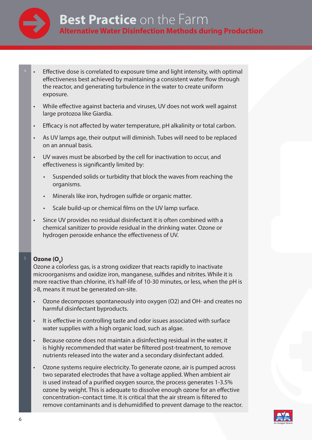

- Effective dose is correlated to exposure time and light intensity, with optimal effectiveness best achieved by maintaining a consistent water flow through the reactor, and generating turbulence in the water to create uniform exposure.
- While effective against bacteria and viruses, UV does not work well against large protozoa like Giardia.
- Efficacy is not affected by water temperature, pH alkalinity or total carbon.
- As UV lamps age, their output will diminish. Tubes will need to be replaced on an annual basis.
- UV waves must be absorbed by the cell for inactivation to occur, and effectiveness is significantly limited by:
	- Suspended solids or turbidity that block the waves from reaching the organisms.
	- Minerals like iron, hydrogen sulfide or organic matter.
	- Scale build-up or chemical films on the UV lamp surface.
- Since UV provides no residual disinfectant it is often combined with a chemical sanitizer to provide residual in the drinking water. Ozone or hydrogen peroxide enhance the effectiveness of UV.

### **5** Ozone (O<sub>3</sub>)

Ozone a colorless gas, is a strong oxidizer that reacts rapidly to inactivate microorganisms and oxidize iron, manganese, sulfides and nitrites. While it is more reactive than chlorine, it's half-life of 10-30 minutes, or less, when the pH is >8, means it must be generated on-site.

- Ozone decomposes spontaneously into oxygen (O2) and OH- and creates no harmful disinfectant byproducts.
- It is effective in controlling taste and odor issues associated with surface water supplies with a high organic load, such as algae.
- Because ozone does not maintain a disinfecting residual in the water, it is highly recommended that water be filtered post-treatment, to remove nutrients released into the water and a secondary disinfectant added.
- Ozone systems require electricity. To generate ozone, air is pumped across two separated electrodes that have a voltage applied. When ambient air is used instead of a purified oxygen source, the process generates 1-3.5% ozone by weight. This is adequate to dissolve enough ozone for an effective concentration–contact time. It is critical that the air stream is filtered to remove contaminants and is dehumidified to prevent damage to the reactor.

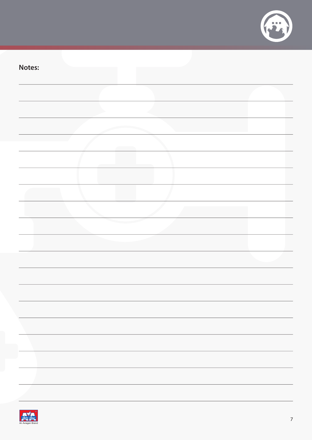

| Notes: |  |
|--------|--|
|        |  |
|        |  |
|        |  |
|        |  |
|        |  |
|        |  |
|        |  |
|        |  |
|        |  |
|        |  |
|        |  |
|        |  |
|        |  |
|        |  |
|        |  |
|        |  |
|        |  |
|        |  |
|        |  |